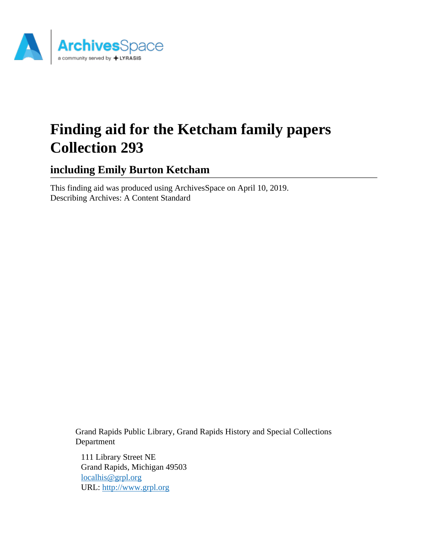

# **Finding aid for the Ketcham family papers Collection 293**

**including Emily Burton Ketcham**

This finding aid was produced using ArchivesSpace on April 10, 2019. Describing Archives: A Content Standard

> Grand Rapids Public Library, Grand Rapids History and Special Collections Department

111 Library Street NE Grand Rapids, Michigan 49503 [localhis@grpl.org](mailto:localhis@grpl.org) URL:<http://www.grpl.org>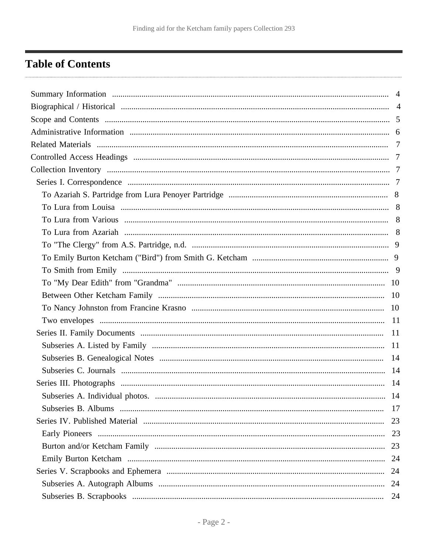## <span id="page-1-0"></span>**Table of Contents**

| 14 |
|----|
|    |
|    |
|    |
|    |
|    |
|    |
|    |
|    |
|    |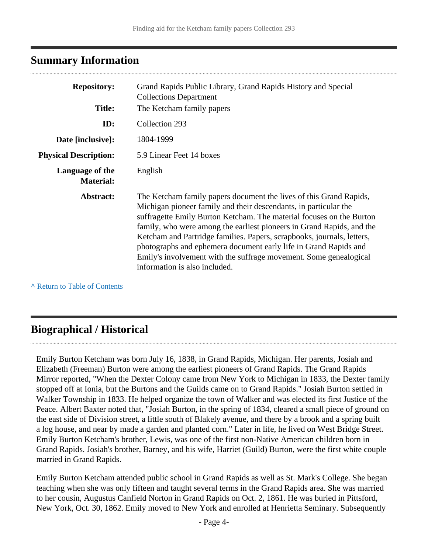### <span id="page-3-0"></span>**Summary Information**

| <b>Repository:</b>                  | Grand Rapids Public Library, Grand Rapids History and Special<br><b>Collections Department</b>                                                                                                                                                                                                                                                                                                                                                                                                                                              |
|-------------------------------------|---------------------------------------------------------------------------------------------------------------------------------------------------------------------------------------------------------------------------------------------------------------------------------------------------------------------------------------------------------------------------------------------------------------------------------------------------------------------------------------------------------------------------------------------|
| <b>Title:</b>                       | The Ketcham family papers                                                                                                                                                                                                                                                                                                                                                                                                                                                                                                                   |
| ID:                                 | Collection 293                                                                                                                                                                                                                                                                                                                                                                                                                                                                                                                              |
| Date [inclusive]:                   | 1804-1999                                                                                                                                                                                                                                                                                                                                                                                                                                                                                                                                   |
| <b>Physical Description:</b>        | 5.9 Linear Feet 14 boxes                                                                                                                                                                                                                                                                                                                                                                                                                                                                                                                    |
| Language of the<br><b>Material:</b> | English                                                                                                                                                                                                                                                                                                                                                                                                                                                                                                                                     |
| Abstract:                           | The Ketcham family papers document the lives of this Grand Rapids,<br>Michigan pioneer family and their descendants, in particular the<br>suffragette Emily Burton Ketcham. The material focuses on the Burton<br>family, who were among the earliest pioneers in Grand Rapids, and the<br>Ketcham and Partridge families. Papers, scrapbooks, journals, letters,<br>photographs and ephemera document early life in Grand Rapids and<br>Emily's involvement with the suffrage movement. Some genealogical<br>information is also included. |

**^** [Return to Table of Contents](#page-1-0)

## <span id="page-3-1"></span>**Biographical / Historical**

Emily Burton Ketcham was born July 16, 1838, in Grand Rapids, Michigan. Her parents, Josiah and Elizabeth (Freeman) Burton were among the earliest pioneers of Grand Rapids. The Grand Rapids Mirror reported, "When the Dexter Colony came from New York to Michigan in 1833, the Dexter family stopped off at Ionia, but the Burtons and the Guilds came on to Grand Rapids." Josiah Burton settled in Walker Township in 1833. He helped organize the town of Walker and was elected its first Justice of the Peace. Albert Baxter noted that, "Josiah Burton, in the spring of 1834, cleared a small piece of ground on the east side of Division street, a little south of Blakely avenue, and there by a brook and a spring built a log house, and near by made a garden and planted corn." Later in life, he lived on West Bridge Street. Emily Burton Ketcham's brother, Lewis, was one of the first non-Native American children born in Grand Rapids. Josiah's brother, Barney, and his wife, Harriet (Guild) Burton, were the first white couple married in Grand Rapids.

Emily Burton Ketcham attended public school in Grand Rapids as well as St. Mark's College. She began teaching when she was only fifteen and taught several terms in the Grand Rapids area. She was married to her cousin, Augustus Canfield Norton in Grand Rapids on Oct. 2, 1861. He was buried in Pittsford, New York, Oct. 30, 1862. Emily moved to New York and enrolled at Henrietta Seminary. Subsequently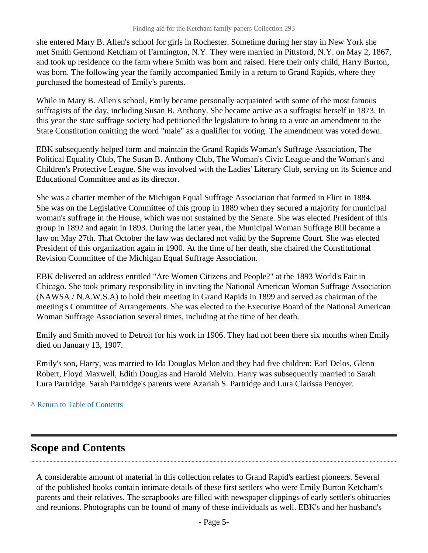she entered Mary B. Allen's school for girls in Rochester. Sometime during her stay in New York she met Smith Germond Ketcham of Farmington, N.Y. They were married in Pittsford, N.Y. on May 2, 1867, and took up residence on the farm where Smith was born and raised. Here their only child, Harry Burton, was born. The following year the family accompanied Emily in a return to Grand Rapids, where they purchased the homestead of Emily's parents.

While in Mary B. Allen's school, Emily became personally acquainted with some of the most famous suffragists of the day, including Susan B. Anthony. She became active as a suffragist herself in 1873. In this year the state suffrage society had petitioned the legislature to bring to a vote an amendment to the State Constitution omitting the word "male" as a qualifier for voting. The amendment was voted down.

EBK subsequently helped form and maintain the Grand Rapids Woman's Suffrage Association, The Political Equality Club, The Susan B. Anthony Club, The Woman's Civic League and the Woman's and Children's Protective League. She was involved with the Ladies' Literary Club, serving on its Science and Educational Committee and as its director.

She was a charter member of the Michigan Equal Suffrage Association that formed in Flint in 1884. She was on the Legislative Committee of this group in 1889 when they secured a majority for municipal woman's suffrage in the House, which was not sustained by the Senate. She was elected President of this group in 1892 and again in 1893. During the latter year, the Municipal Woman Suffrage Bill became a law on May 27th. That October the law was declared not valid by the Supreme Court. She was elected President of this organization again in 1900. At the time of her death, she chaired the Constitutional Revision Committee of the Michigan Equal Suffrage Association.

EBK delivered an address entitled "Are Women Citizens and People?" at the 1893 World's Fair in Chicago. She took primary responsibility in inviting the National American Woman Suffrage Association (NAWSA / N.A.W.S.A) to hold their meeting in Grand Rapids in 1899 and served as chairman of the meeting's Committee of Arrangements. She was elected to the Executive Board of the National American Woman Suffrage Association several times, including at the time of her death.

Emily and Smith moved to Detroit for his work in 1906. They had not been there six months when Emily died on January 13, 1907.

Emily's son, Harry, was married to Ida Douglas Melon and they had five children; Earl Delos, Glenn Robert, Floyd Maxwell, Edith Douglas and Harold Melvin. Harry was subsequently married to Sarah Lura Partridge. Sarah Partridge's parents were Azariah S. Partridge and Lura Clarissa Penoyer.

#### **^** [Return to Table of Contents](#page-1-0)

## <span id="page-4-0"></span>**Scope and Contents**

A considerable amount of material in this collection relates to Grand Rapid's earliest pioneers. Several of the published books contain intimate details of these first settlers who were Emily Burton Ketcham's parents and their relatives. The scrapbooks are filled with newspaper clippings of early settler's obituaries and reunions. Photographs can be found of many of these individuals as well. EBK's and her husband's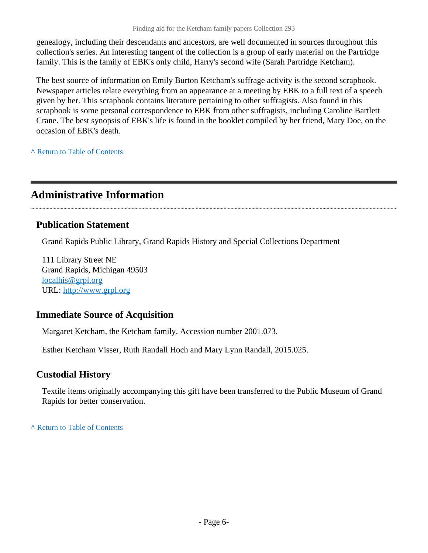genealogy, including their descendants and ancestors, are well documented in sources throughout this collection's series. An interesting tangent of the collection is a group of early material on the Partridge family. This is the family of EBK's only child, Harry's second wife (Sarah Partridge Ketcham).

The best source of information on Emily Burton Ketcham's suffrage activity is the second scrapbook. Newspaper articles relate everything from an appearance at a meeting by EBK to a full text of a speech given by her. This scrapbook contains literature pertaining to other suffragists. Also found in this scrapbook is some personal correspondence to EBK from other suffragists, including Caroline Bartlett Crane. The best synopsis of EBK's life is found in the booklet compiled by her friend, Mary Doe, on the occasion of EBK's death.

**^** [Return to Table of Contents](#page-1-0)

## <span id="page-5-0"></span>**Administrative Information**

#### **Publication Statement**

Grand Rapids Public Library, Grand Rapids History and Special Collections Department

111 Library Street NE Grand Rapids, Michigan 49503 [localhis@grpl.org](mailto:localhis@grpl.org) URL:<http://www.grpl.org>

#### **Immediate Source of Acquisition**

Margaret Ketcham, the Ketcham family. Accession number 2001.073.

Esther Ketcham Visser, Ruth Randall Hoch and Mary Lynn Randall, 2015.025.

#### **Custodial History**

Textile items originally accompanying this gift have been transferred to the Public Museum of Grand Rapids for better conservation.

**^** [Return to Table of Contents](#page-1-0)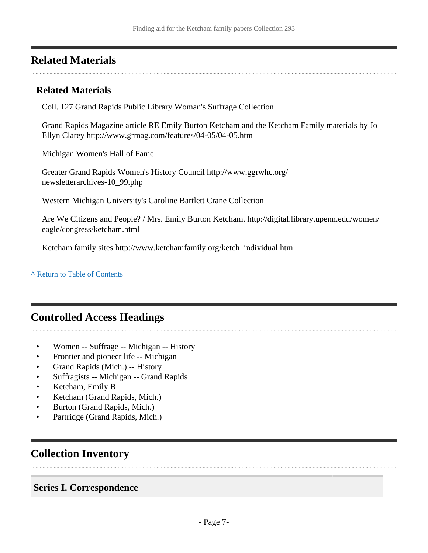## <span id="page-6-0"></span>**Related Materials**

### **Related Materials**

Coll. 127 Grand Rapids Public Library Woman's Suffrage Collection

Grand Rapids Magazine article RE Emily Burton Ketcham and the Ketcham Family materials by Jo Ellyn Clarey http://www.grmag.com/features/04-05/04-05.htm

Michigan Women's Hall of Fame

Greater Grand Rapids Women's History Council http://www.ggrwhc.org/ newsletterarchives-10\_99.php

Western Michigan University's Caroline Bartlett Crane Collection

Are We Citizens and People? / Mrs. Emily Burton Ketcham. http://digital.library.upenn.edu/women/ eagle/congress/ketcham.html

Ketcham family sites http://www.ketchamfamily.org/ketch\_individual.htm

#### **^** [Return to Table of Contents](#page-1-0)

## <span id="page-6-1"></span>**Controlled Access Headings**

- Women -- Suffrage -- Michigan -- History
- Frontier and pioneer life -- Michigan
- Grand Rapids (Mich.) -- History
- Suffragists -- Michigan -- Grand Rapids
- Ketcham, Emily B
- Ketcham (Grand Rapids, Mich.)
- Burton (Grand Rapids, Mich.)
- Partridge (Grand Rapids, Mich.)

## <span id="page-6-2"></span>**Collection Inventory**

#### <span id="page-6-3"></span>**Series I. Correspondence**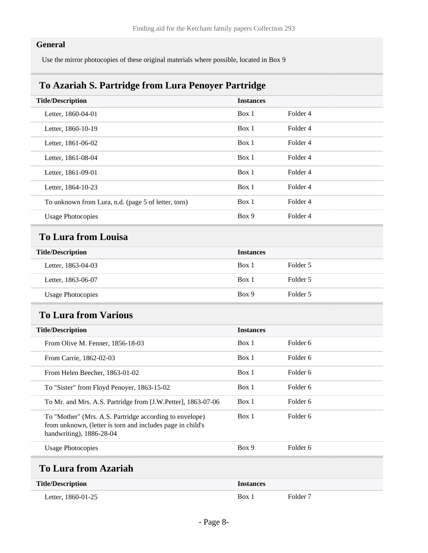#### **General**

Use the mirror photocopies of these original materials where possible, located in Box 9

#### <span id="page-7-0"></span>**To Azariah S. Partridge from Lura Penoyer Partridge**

| <b>Title/Description</b>                            | <b>Instances</b> |                     |  |
|-----------------------------------------------------|------------------|---------------------|--|
| Letter, 1860-04-01                                  | Box 1            | Folder <sub>4</sub> |  |
| Letter, 1860-10-19                                  | Box 1            | Folder <sub>4</sub> |  |
| Letter, 1861-06-02                                  | Box 1            | Folder 4            |  |
| Letter, 1861-08-04                                  | Box 1            | Folder 4            |  |
| Letter, 1861-09-01                                  | Box 1            | Folder <sub>4</sub> |  |
| Letter, 1864-10-23                                  | Box 1            | Folder <sub>4</sub> |  |
| To unknown from Lura, n.d. (page 5 of letter, torn) | Box 1            | Folder 4            |  |
| <b>Usage Photocopies</b>                            | Box 9            | Folder <sub>4</sub> |  |
| <b>To Lura from Louisa</b>                          |                  |                     |  |
| <b>Title/Description</b>                            | <b>Instances</b> |                     |  |
| Letter, 1863-04-03                                  | Box 1            | Folder 5            |  |
|                                                     |                  |                     |  |
| Letter, 1863-06-07                                  | Box 1            | Folder 5            |  |

## <span id="page-7-2"></span><span id="page-7-1"></span>**Title/Description Instances** From Olive M. Fenner, 1856-18-03 Box 1 Folder 6 From Carrie, 1862-02-03 Box 1 Folder 6 From Helen Beecher, 1863-01-02 Box 1 Folder 6 To "Sister" from Floyd Penoyer, 1863-15-02 Box 1 Folder 6 To Mr. and Mrs. A.S. Partridge from [J.W.Petter], 1863-07-06 Box 1 Folder 6 To "Mother" (Mrs. A.S. Partridge according to envelope) from unknown, (letter is torn and includes page in child's handwriting), 1886-28-04 Box 1 Folder 6 Usage Photocopies Box 9 Folder 6

#### <span id="page-7-3"></span>**To Lura from Azariah**

| <b>Title/Description</b> | <b>Instances</b> |                     |
|--------------------------|------------------|---------------------|
| Letter, 1860-01-25       | Box 1            | Folder <sub>7</sub> |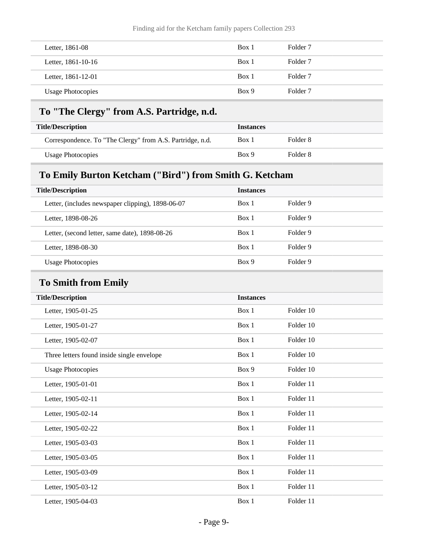| Letter, 1861-08          | Box 1 | Folder <sub>7</sub> |
|--------------------------|-------|---------------------|
| Letter, 1861-10-16       | Box 1 | Folder 7            |
| Letter, 1861-12-01       | Box 1 | Folder <sub>7</sub> |
| <b>Usage Photocopies</b> | Box 9 | Folder <sub>7</sub> |

## <span id="page-8-0"></span>**To "The Clergy" from A.S. Partridge, n.d.**

| <b>Title/Description</b>                                  | <b>Instances</b> |          |
|-----------------------------------------------------------|------------------|----------|
| Correspondence. To "The Clergy" from A.S. Partridge, n.d. | Box 1            | Folder 8 |
| Usage Photocopies                                         | Box 9            | Folder 8 |

## <span id="page-8-1"></span>**To Emily Burton Ketcham ("Bird") from Smith G. Ketcham**

| <b>Title/Description</b>                          | <b>Instances</b> |          |
|---------------------------------------------------|------------------|----------|
| Letter, (includes newspaper clipping), 1898-06-07 | Box 1            | Folder 9 |
| Letter, 1898-08-26                                | Box 1            | Folder 9 |
| Letter, (second letter, same date), 1898-08-26    | Box 1            | Folder 9 |
| Letter, 1898-08-30                                | Box 1            | Folder 9 |
| <b>Usage Photocopies</b>                          | Box 9            | Folder 9 |

## <span id="page-8-2"></span>**To Smith from Emily**

| <b>Title/Description</b>                   | <b>Instances</b> |           |  |
|--------------------------------------------|------------------|-----------|--|
| Letter, 1905-01-25                         | Box 1            | Folder 10 |  |
| Letter, 1905-01-27                         | Box 1            | Folder 10 |  |
| Letter, 1905-02-07                         | Box 1            | Folder 10 |  |
| Three letters found inside single envelope | Box 1            | Folder 10 |  |
| <b>Usage Photocopies</b>                   | Box 9            | Folder 10 |  |
| Letter, 1905-01-01                         | Box 1            | Folder 11 |  |
| Letter, 1905-02-11                         | Box 1            | Folder 11 |  |
| Letter, 1905-02-14                         | Box 1            | Folder 11 |  |
| Letter, 1905-02-22                         | Box 1            | Folder 11 |  |
| Letter, 1905-03-03                         | Box 1            | Folder 11 |  |
| Letter, 1905-03-05                         | Box 1            | Folder 11 |  |
| Letter, 1905-03-09                         | Box 1            | Folder 11 |  |
| Letter, 1905-03-12                         | Box 1            | Folder 11 |  |
| Letter, 1905-04-03                         | Box 1            | Folder 11 |  |
|                                            |                  |           |  |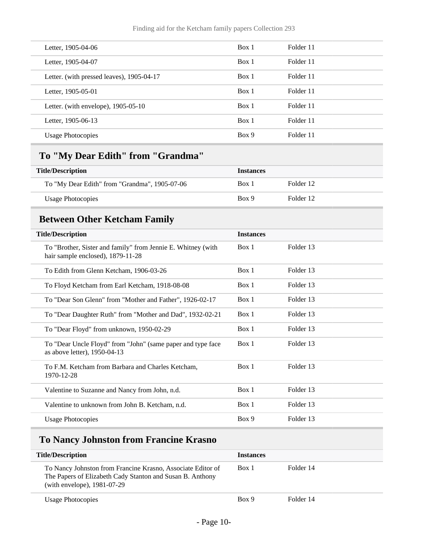| Letter, 1905-04-06                        | Box 1 | Folder 11 |
|-------------------------------------------|-------|-----------|
| Letter, 1905-04-07                        | Box 1 | Folder 11 |
| Letter. (with pressed leaves), 1905-04-17 | Box 1 | Folder 11 |
| Letter, 1905-05-01                        | Box 1 | Folder 11 |
| Letter. (with envelope), $1905-05-10$     | Box 1 | Folder 11 |
| Letter, 1905-06-13                        | Box 1 | Folder 11 |
| <b>Usage Photocopies</b>                  | Box 9 | Folder 11 |
|                                           |       |           |

## <span id="page-9-0"></span>**To "My Dear Edith" from "Grandma"**

| <b>Title/Description</b>                      | <b>Instances</b> |           |
|-----------------------------------------------|------------------|-----------|
| To "My Dear Edith" from "Grandma", 1905-07-06 | Box 1            | Folder 12 |
| Usage Photocopies                             | Box 9            | Folder 12 |

### <span id="page-9-1"></span>**Between Other Ketcham Family**

| <b>Title/Description</b>                                                                          | <b>Instances</b> |           |  |
|---------------------------------------------------------------------------------------------------|------------------|-----------|--|
| To "Brother, Sister and family" from Jennie E. Whitney (with<br>hair sample enclosed), 1879-11-28 | Box 1            | Folder 13 |  |
| To Edith from Glenn Ketcham, 1906-03-26                                                           | Box 1            | Folder 13 |  |
| To Floyd Ketcham from Earl Ketcham, 1918-08-08                                                    | Box 1            | Folder 13 |  |
| To "Dear Son Glenn" from "Mother and Father", 1926-02-17                                          | Box 1            | Folder 13 |  |
| To "Dear Daughter Ruth" from "Mother and Dad", 1932-02-21                                         | Box 1            | Folder 13 |  |
| To "Dear Floyd" from unknown, 1950-02-29                                                          | Box 1            | Folder 13 |  |
| To "Dear Uncle Floyd" from "John" (same paper and type face<br>as above letter), 1950-04-13       | Box 1            | Folder 13 |  |
| To F.M. Ketcham from Barbara and Charles Ketcham,<br>1970-12-28                                   | Box 1            | Folder 13 |  |
| Valentine to Suzanne and Nancy from John, n.d.                                                    | Box 1            | Folder 13 |  |
| Valentine to unknown from John B. Ketcham, n.d.                                                   | Box 1            | Folder 13 |  |
| <b>Usage Photocopies</b>                                                                          | Box 9            | Folder 13 |  |

## <span id="page-9-2"></span>**To Nancy Johnston from Francine Krasno**

| <b>Title/Description</b>                                                                                                                                | <b>Instances</b> |           |
|---------------------------------------------------------------------------------------------------------------------------------------------------------|------------------|-----------|
| To Nancy Johnston from Francine Krasno, Associate Editor of<br>The Papers of Elizabeth Cady Stanton and Susan B. Anthony<br>(with envelope), 1981-07-29 | Box 1            | Folder 14 |
| <b>Usage Photocopies</b>                                                                                                                                | Box 9            | Folder 14 |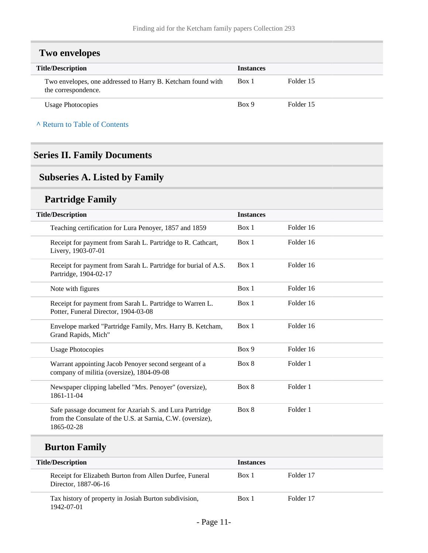### <span id="page-10-0"></span>**Two envelopes**

| <b>Title/Description</b>                                                           | <b>Instances</b> |           |
|------------------------------------------------------------------------------------|------------------|-----------|
| Two envelopes, one addressed to Harry B. Ketcham found with<br>the correspondence. | Box 1            | Folder 15 |
| Usage Photocopies                                                                  | Box 9            | Folder 15 |

#### **^** [Return to Table of Contents](#page-1-0)

### <span id="page-10-1"></span>**Series II. Family Documents**

### <span id="page-10-2"></span>**Subseries A. Listed by Family**

### **Partridge Family**

| <b>Title/Description</b>                                                                                                            | <b>Instances</b> |           |
|-------------------------------------------------------------------------------------------------------------------------------------|------------------|-----------|
| Teaching certification for Lura Penoyer, 1857 and 1859                                                                              | Box 1            | Folder 16 |
| Receipt for payment from Sarah L. Partridge to R. Cathcart,<br>Livery, 1903-07-01                                                   | Box 1            | Folder 16 |
| Receipt for payment from Sarah L. Partridge for burial of A.S.<br>Partridge, 1904-02-17                                             | Box 1            | Folder 16 |
| Note with figures                                                                                                                   | Box 1            | Folder 16 |
| Receipt for payment from Sarah L. Partridge to Warren L.<br>Potter, Funeral Director, 1904-03-08                                    | Box 1            | Folder 16 |
| Envelope marked "Partridge Family, Mrs. Harry B. Ketcham,<br>Grand Rapids, Mich"                                                    | Box 1            | Folder 16 |
| <b>Usage Photocopies</b>                                                                                                            | Box 9            | Folder 16 |
| Warrant appointing Jacob Penoyer second sergeant of a<br>company of militia (oversize), 1804-09-08                                  | Box 8            | Folder 1  |
| Newspaper clipping labelled "Mrs. Penoyer" (oversize),<br>1861-11-04                                                                | Box 8            | Folder 1  |
| Safe passage document for Azariah S. and Lura Partridge<br>from the Consulate of the U.S. at Sarnia, C.W. (oversize),<br>1865-02-28 | Box 8            | Folder 1  |
| <b>Burton Family</b>                                                                                                                |                  |           |
| <b>Title/Description</b>                                                                                                            | <b>Instances</b> |           |
| Receipt for Elizabeth Burton from Allen Durfee, Funeral<br>Director, 1887-06-16                                                     | Box 1            | Folder 17 |

Tax history of property in Josiah Burton subdivision, 1942-07-01

Box 1 Folder 17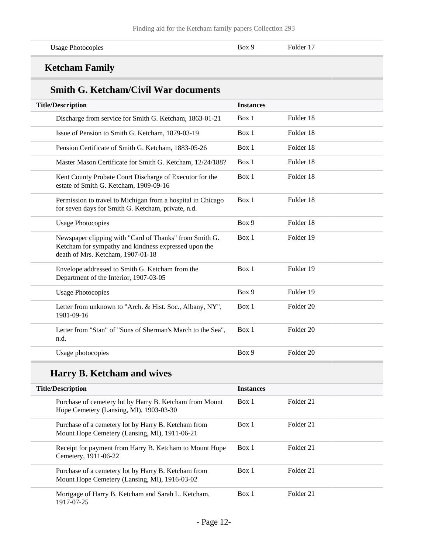## **Ketcham Family**

## **Smith G. Ketcham/Civil War documents**

| <b>Title/Description</b> |                                                                                                                                                     | <b>Instances</b> |                      |
|--------------------------|-----------------------------------------------------------------------------------------------------------------------------------------------------|------------------|----------------------|
|                          | Discharge from service for Smith G. Ketcham, 1863-01-21                                                                                             | Box 1            | Folder 18            |
|                          | Issue of Pension to Smith G. Ketcham, 1879-03-19                                                                                                    | Box 1            | Folder 18            |
|                          | Pension Certificate of Smith G. Ketcham, 1883-05-26                                                                                                 | Box 1            | Folder 18            |
|                          | Master Mason Certificate for Smith G. Ketcham, 12/24/188?                                                                                           | Box 1            | Folder 18            |
|                          | Kent County Probate Court Discharge of Executor for the<br>estate of Smith G. Ketcham, 1909-09-16                                                   | Box 1            | Folder 18            |
|                          | Permission to travel to Michigan from a hospital in Chicago<br>for seven days for Smith G. Ketcham, private, n.d.                                   | Box 1            | Folder 18            |
|                          | <b>Usage Photocopies</b>                                                                                                                            | Box 9            | Folder 18            |
|                          | Newspaper clipping with "Card of Thanks" from Smith G.<br>Ketcham for sympathy and kindness expressed upon the<br>death of Mrs. Ketcham, 1907-01-18 | Box 1            | Folder 19            |
|                          | Envelope addressed to Smith G. Ketcham from the<br>Department of the Interior, 1907-03-05                                                           | Box 1            | Folder 19            |
|                          | <b>Usage Photocopies</b>                                                                                                                            | Box 9            | Folder 19            |
|                          | Letter from unknown to "Arch. & Hist. Soc., Albany, NY",<br>1981-09-16                                                                              | Box 1            | Folder <sub>20</sub> |
| n.d.                     | Letter from "Stan" of "Sons of Sherman's March to the Sea",                                                                                         | Box 1            | Folder <sub>20</sub> |
|                          | Usage photocopies                                                                                                                                   | Box 9            | Folder 20            |

## **Harry B. Ketcham and wives**

| <b>Title/Description</b>                                                                             | <b>Instances</b> |                      |
|------------------------------------------------------------------------------------------------------|------------------|----------------------|
| Purchase of cemetery lot by Harry B. Ketcham from Mount<br>Hope Cemetery (Lansing, MI), 1903-03-30   | Box 1            | Folder 21            |
| Purchase of a cemetery lot by Harry B. Ketcham from<br>Mount Hope Cemetery (Lansing, MI), 1911-06-21 | Box 1            | Folder 21            |
| Receipt for payment from Harry B. Ketcham to Mount Hope<br>Cemetery, 1911-06-22                      | Box 1            | Folder 21            |
| Purchase of a cemetery lot by Harry B. Ketcham from<br>Mount Hope Cemetery (Lansing, MI), 1916-03-02 | Box 1            | Folder 21            |
| Mortgage of Harry B. Ketcham and Sarah L. Ketcham,<br>1917-07-25                                     | Box 1            | Folder <sub>21</sub> |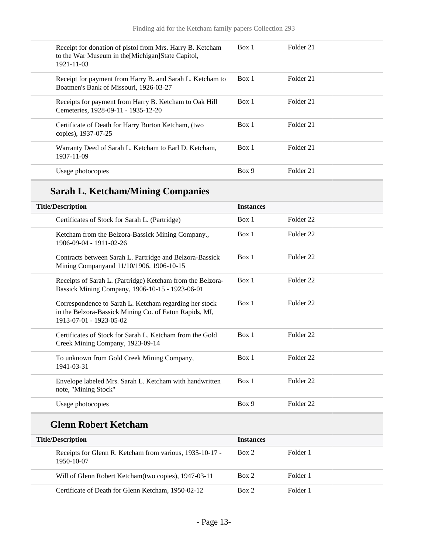| Receipt for donation of pistol from Mrs. Harry B. Ketcham                                           | Box 1 | Folder 21 |
|-----------------------------------------------------------------------------------------------------|-------|-----------|
| to the War Museum in the [Michigan] State Capitol,<br>1921-11-03                                    |       |           |
| Receipt for payment from Harry B. and Sarah L. Ketcham to<br>Boatmen's Bank of Missouri, 1926-03-27 | Box 1 | Folder 21 |
| Receipts for payment from Harry B. Ketcham to Oak Hill<br>Cemeteries, 1928-09-11 - 1935-12-20       | Box 1 | Folder 21 |
| Certificate of Death for Harry Burton Ketcham, (two<br>copies), 1937-07-25                          | Box 1 | Folder 21 |
| Warranty Deed of Sarah L. Ketcham to Earl D. Ketcham,<br>1937-11-09                                 | Box 1 | Folder 21 |
| Usage photocopies                                                                                   | Box 9 | Folder 21 |

## **Sarah L. Ketcham/Mining Companies**

| <b>Title/Description</b>                                                                                                                    | <b>Instances</b> |                      |
|---------------------------------------------------------------------------------------------------------------------------------------------|------------------|----------------------|
| Certificates of Stock for Sarah L. (Partridge)                                                                                              | Box 1            | Folder <sub>22</sub> |
| Ketcham from the Belzora-Bassick Mining Company.,<br>1906-09-04 - 1911-02-26                                                                | Box 1            | Folder <sub>22</sub> |
| Contracts between Sarah L. Partridge and Belzora-Bassick<br>Mining Companyand 11/10/1906, 1906-10-15                                        | Box 1            | Folder <sub>22</sub> |
| Receipts of Sarah L. (Partridge) Ketcham from the Belzora-<br>Bassick Mining Company, 1906-10-15 - 1923-06-01                               | Box 1            | Folder <sub>22</sub> |
| Correspondence to Sarah L. Ketcham regarding her stock<br>in the Belzora-Bassick Mining Co. of Eaton Rapids, MI,<br>1913-07-01 - 1923-05-02 | Box 1            | Folder <sub>22</sub> |
| Certificates of Stock for Sarah L. Ketcham from the Gold<br>Creek Mining Company, 1923-09-14                                                | Box 1            | Folder <sub>22</sub> |
| To unknown from Gold Creek Mining Company,<br>1941-03-31                                                                                    | Box 1            | Folder <sub>22</sub> |
| Envelope labeled Mrs. Sarah L. Ketcham with handwritten<br>note, "Mining Stock"                                                             | Box 1            | Folder <sub>22</sub> |
| Usage photocopies                                                                                                                           | Box 9            | Folder <sub>22</sub> |

## **Glenn Robert Ketcham**

| <b>Title/Description</b>                                               | <b>Instances</b> |          |
|------------------------------------------------------------------------|------------------|----------|
| Receipts for Glenn R. Ketcham from various, 1935-10-17 -<br>1950-10-07 | Box 2            | Folder 1 |
| Will of Glenn Robert Ketcham (two copies), 1947-03-11                  | Box 2            | Folder 1 |
| Certificate of Death for Glenn Ketcham, 1950-02-12                     | Box 2            | Folder 1 |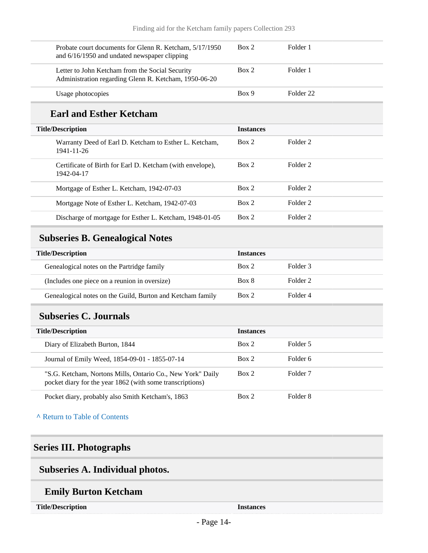| Probate court documents for Glenn R. Ketcham, 5/17/1950<br>and 6/16/1950 and undated newspaper clipping  | Box 2            | Folder 1             |
|----------------------------------------------------------------------------------------------------------|------------------|----------------------|
| Letter to John Ketcham from the Social Security<br>Administration regarding Glenn R. Ketcham, 1950-06-20 | Box 2            | Folder 1             |
| Usage photocopies                                                                                        | Box 9            | Folder <sub>22</sub> |
| <b>Earl and Esther Ketcham</b>                                                                           |                  |                      |
| <b>Title/Description</b>                                                                                 | <b>Instances</b> |                      |
| Warranty Deed of Earl D. Ketcham to Esther L. Ketcham,<br>1941-11-26                                     | Box 2            | Folder <sub>2</sub>  |
| Certificate of Birth for Earl D. Ketcham (with envelope),<br>1942-04-17                                  | Box 2            | Folder <sub>2</sub>  |
| Mortgage of Esther L. Ketcham, 1942-07-03                                                                | Box 2            | Folder <sub>2</sub>  |
| Mortgage Note of Esther L. Ketcham, 1942-07-03                                                           | Box 2            | Folder <sub>2</sub>  |
| Discharge of mortgage for Esther L. Ketcham, 1948-01-05                                                  | Box 2            | Folder <sub>2</sub>  |
| <b>Subseries B. Genealogical Notes</b>                                                                   |                  |                      |
| <b>Title/Description</b>                                                                                 | <b>Instances</b> |                      |
|                                                                                                          |                  |                      |

<span id="page-13-0"></span>

| Genealogical notes on the Partridge family                 | Box 2 | Folder 3 |
|------------------------------------------------------------|-------|----------|
| (Includes one piece on a reunion in oversize)              | Box 8 | Folder 2 |
| Genealogical notes on the Guild, Burton and Ketcham family | Box 2 | Folder 4 |

## <span id="page-13-1"></span>**Subseries C. Journals**

| <b>Title/Description</b>                                                                                                | <b>Instances</b> |          |
|-------------------------------------------------------------------------------------------------------------------------|------------------|----------|
| Diary of Elizabeth Burton, 1844                                                                                         | Box 2            | Folder 5 |
| Journal of Emily Weed, 1854-09-01 - 1855-07-14                                                                          | Box 2            | Folder 6 |
| "S.G. Ketcham, Nortons Mills, Ontario Co., New York" Daily<br>pocket diary for the year 1862 (with some transcriptions) | Box 2            | Folder 7 |
| Pocket diary, probably also Smith Ketcham's, 1863                                                                       | Box 2            | Folder 8 |

**^** [Return to Table of Contents](#page-1-0)

## <span id="page-13-2"></span>**Series III. Photographs**

## <span id="page-13-3"></span>**Subseries A. Individual photos.**

## **Emily Burton Ketcham**

**Title/Description Instances**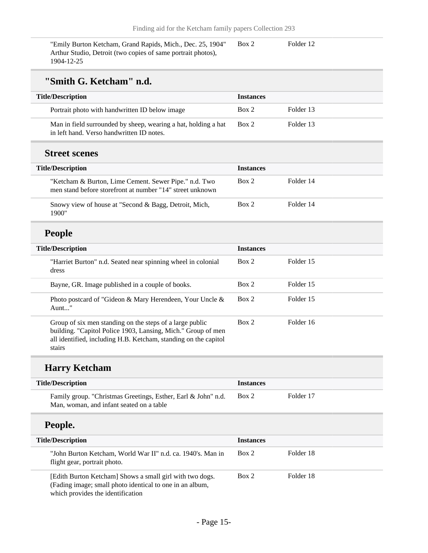"Emily Burton Ketcham, Grand Rapids, Mich., Dec. 25, 1904" Arthur Studio, Detroit (two copies of same portrait photos), 1904-12-25 Box 2 Folder 12

### **"Smith G. Ketcham" n.d.**

| <b>Title/Description</b>                                                                                    | <b>Instances</b> |           |
|-------------------------------------------------------------------------------------------------------------|------------------|-----------|
| Portrait photo with handwritten ID below image                                                              | Box 2            | Folder 13 |
| Man in field surrounded by sheep, wearing a hat, holding a hat<br>in left hand. Verso handwritten ID notes. | Box 2            | Folder 13 |

#### **Street scenes**

| <b>Title/Description</b>                                                                                           | <b>Instances</b> |           |
|--------------------------------------------------------------------------------------------------------------------|------------------|-----------|
| "Ketcham & Burton, Lime Cement. Sewer Pipe." n.d. Two<br>men stand before storefront at number "14" street unknown | Box 2            | Folder 14 |
| Snowy view of house at "Second & Bagg, Detroit, Mich,<br>1900"                                                     | Box 2            | Folder 14 |

## **People**

| <b>Title/Description</b>                                                                                                                                                                              | <b>Instances</b> |           |  |
|-------------------------------------------------------------------------------------------------------------------------------------------------------------------------------------------------------|------------------|-----------|--|
| "Harriet Burton" n.d. Seated near spinning wheel in colonial<br>dress                                                                                                                                 | Box 2            | Folder 15 |  |
| Bayne, GR. Image published in a couple of books.                                                                                                                                                      | Box 2            | Folder 15 |  |
| Photo postcard of "Gideon & Mary Herendeen, Your Uncle &<br>Aunt"                                                                                                                                     | Box 2            | Folder 15 |  |
| Group of six men standing on the steps of a large public<br>building. "Capitol Police 1903, Lansing, Mich." Group of men<br>all identified, including H.B. Ketcham, standing on the capitol<br>stairs | Box 2            | Folder 16 |  |

### **Harry Ketcham**

| <b>Title/Description</b>                                                                                                                                  | <b>Instances</b> |           |
|-----------------------------------------------------------------------------------------------------------------------------------------------------------|------------------|-----------|
| Family group. "Christmas Greetings, Esther, Earl & John" n.d.<br>Man, woman, and infant seated on a table                                                 | Box 2            | Folder 17 |
| People.                                                                                                                                                   |                  |           |
| <b>Title/Description</b>                                                                                                                                  | <b>Instances</b> |           |
| "John Burton Ketcham, World War II" n.d. ca. 1940's. Man in<br>flight gear, portrait photo.                                                               | Box 2            | Folder 18 |
| [Edith Burton Ketcham] Shows a small girl with two dogs.<br>(Fading image; small photo identical to one in an album,<br>which provides the identification | Box 2            | Folder 18 |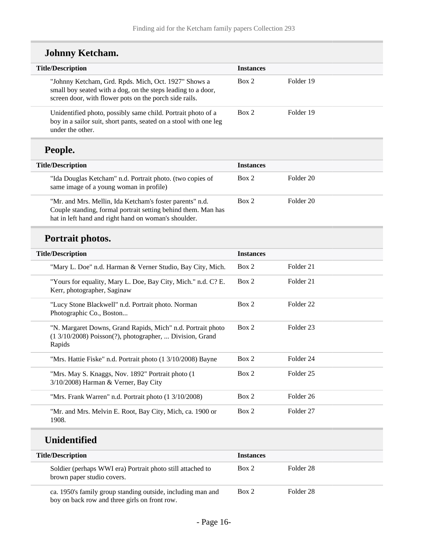| o omini ya serengini                                                                                                                                                              |                  |                      |  |
|-----------------------------------------------------------------------------------------------------------------------------------------------------------------------------------|------------------|----------------------|--|
| <b>Title/Description</b>                                                                                                                                                          | <b>Instances</b> |                      |  |
| "Johnny Ketcham, Grd. Rpds. Mich, Oct. 1927" Shows a<br>small boy seated with a dog, on the steps leading to a door,<br>screen door, with flower pots on the porch side rails.    | Box 2            | Folder 19            |  |
| Unidentified photo, possibly same child. Portrait photo of a<br>boy in a sailor suit, short pants, seated on a stool with one leg<br>under the other.                             | Box 2            | Folder 19            |  |
| People.                                                                                                                                                                           |                  |                      |  |
| <b>Title/Description</b>                                                                                                                                                          | <b>Instances</b> |                      |  |
| "Ida Douglas Ketcham" n.d. Portrait photo. (two copies of<br>same image of a young woman in profile)                                                                              | Box 2            | Folder <sub>20</sub> |  |
| "Mr. and Mrs. Mellin, Ida Ketcham's foster parents" n.d.<br>Couple standing, formal portrait setting behind them. Man has<br>hat in left hand and right hand on woman's shoulder. | Box 2            | Folder <sub>20</sub> |  |
| Portrait photos.                                                                                                                                                                  |                  |                      |  |
| <b>Title/Description</b>                                                                                                                                                          | <b>Instances</b> |                      |  |
| "Mary L. Doe" n.d. Harman & Verner Studio, Bay City, Mich.                                                                                                                        | Box 2            | Folder 21            |  |
| "Yours for equality, Mary L. Doe, Bay City, Mich." n.d. C? E.<br>Kerr, photographer, Saginaw                                                                                      | Box 2            | Folder 21            |  |
| "Lucy Stone Blackwell" n.d. Portrait photo. Norman<br>Photographic Co., Boston                                                                                                    | Box 2            | Folder <sub>22</sub> |  |
| "N. Margaret Downs, Grand Rapids, Mich" n.d. Portrait photo<br>(1 3/10/2008) Poisson(?), photographer,  Division, Grand<br>Rapids                                                 | Box 2            | Folder 23            |  |
| "Mrs. Hattie Fiske" n.d. Portrait photo (1 3/10/2008) Bayne                                                                                                                       | Box 2            | Folder 24            |  |
| "Mrs. May S. Knaggs, Nov. 1892" Portrait photo (1<br>3/10/2008) Harman & Verner, Bay City                                                                                         | Box 2            | Folder <sub>25</sub> |  |
| "Mrs. Frank Warren" n.d. Portrait photo (1 3/10/2008)                                                                                                                             | Box 2            | Folder 26            |  |
| "Mr. and Mrs. Melvin E. Root, Bay City, Mich, ca. 1900 or<br>1908.                                                                                                                | Box 2            | Folder 27            |  |
| <b>Unidentified</b>                                                                                                                                                               |                  |                      |  |
| <b>Title/Description</b>                                                                                                                                                          | <b>Instances</b> |                      |  |
| Soldier (perhaps WWI era) Portrait photo still attached to<br>brown paper studio covers.                                                                                          | Box 2            | Folder 28            |  |
| ca. 1950's family group standing outside, including man and<br>boy on back row and three girls on front row.                                                                      | Box 2            | Folder 28            |  |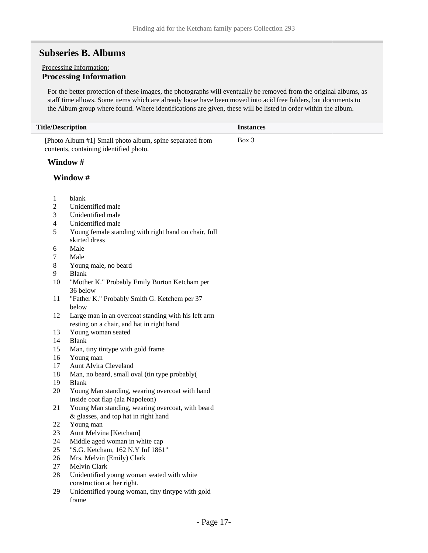#### <span id="page-16-0"></span>**Subseries B. Albums**

#### Processing Information: **Processing Information**

For the better protection of these images, the photographs will eventually be removed from the original albums, as staff time allows. Some items which are already loose have been moved into acid free folders, but documents to the Album group where found. Where identifications are given, these will be listed in order within the album.

|                                                                                                    | <b>Title/Description</b> |                                                                                                  | <b>Instances</b> |
|----------------------------------------------------------------------------------------------------|--------------------------|--------------------------------------------------------------------------------------------------|------------------|
| [Photo Album #1] Small photo album, spine separated from<br>contents, containing identified photo. |                          |                                                                                                  | Box 3            |
|                                                                                                    |                          | Window #                                                                                         |                  |
|                                                                                                    |                          | Window #                                                                                         |                  |
|                                                                                                    | 1                        | blank                                                                                            |                  |
|                                                                                                    | $\overline{c}$           | Unidentified male                                                                                |                  |
|                                                                                                    | 3                        | Unidentified male                                                                                |                  |
|                                                                                                    | 4                        | Unidentified male                                                                                |                  |
|                                                                                                    | 5                        | Young female standing with right hand on chair, full                                             |                  |
|                                                                                                    |                          | skirted dress                                                                                    |                  |
|                                                                                                    | 6                        | Male                                                                                             |                  |
|                                                                                                    | 7                        | Male                                                                                             |                  |
|                                                                                                    | 8                        | Young male, no beard                                                                             |                  |
|                                                                                                    | 9                        | <b>Blank</b>                                                                                     |                  |
|                                                                                                    | 10                       | "Mother K." Probably Emily Burton Ketcham per                                                    |                  |
|                                                                                                    |                          | 36 below                                                                                         |                  |
|                                                                                                    | 11                       | "Father K." Probably Smith G. Ketchem per 37                                                     |                  |
|                                                                                                    |                          | below                                                                                            |                  |
|                                                                                                    | 12                       | Large man in an overcoat standing with his left arm<br>resting on a chair, and hat in right hand |                  |
|                                                                                                    | 13                       | Young woman seated                                                                               |                  |
|                                                                                                    | 14                       | <b>Blank</b>                                                                                     |                  |
|                                                                                                    | 15                       | Man, tiny tintype with gold frame                                                                |                  |
|                                                                                                    | 16                       | Young man                                                                                        |                  |
|                                                                                                    | 17                       | Aunt Alvira Cleveland                                                                            |                  |
|                                                                                                    | 18                       | Man, no beard, small oval (tin type probably(                                                    |                  |
|                                                                                                    | 19                       | <b>Blank</b>                                                                                     |                  |
|                                                                                                    | 20                       | Young Man standing, wearing overcoat with hand                                                   |                  |
|                                                                                                    |                          | inside coat flap (ala Napoleon)                                                                  |                  |
|                                                                                                    | 21                       | Young Man standing, wearing overcoat, with beard                                                 |                  |
|                                                                                                    |                          | & glasses, and top hat in right hand                                                             |                  |
|                                                                                                    | 22                       | Young man                                                                                        |                  |
|                                                                                                    | 23                       | Aunt Melvina [Ketcham]                                                                           |                  |
|                                                                                                    | 24                       | Middle aged woman in white cap                                                                   |                  |
|                                                                                                    | 25                       | "S.G. Ketcham, 162 N.Y Inf 1861"                                                                 |                  |
|                                                                                                    | 26                       | Mrs. Melvin (Emily) Clark                                                                        |                  |
|                                                                                                    | 27                       | Melvin Clark                                                                                     |                  |
|                                                                                                    | 28                       | Unidentified young woman seated with white                                                       |                  |
|                                                                                                    |                          | construction at her right.                                                                       |                  |
|                                                                                                    | 29                       | Unidentified young woman, tiny tintype with gold                                                 |                  |
|                                                                                                    |                          | frame                                                                                            |                  |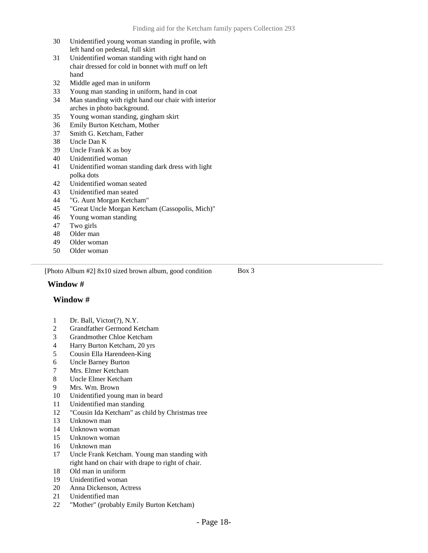Box 3

- Unidentified young woman standing in profile, with left hand on pedestal, full skirt
- Unidentified woman standing with right hand on chair dressed for cold in bonnet with muff on left hand
- Middle aged man in uniform
- Young man standing in uniform, hand in coat
- Man standing with right hand our chair with interior arches in photo background.
- Young woman standing, gingham skirt
- Emily Burton Ketcham, Mother
- Smith G. Ketcham, Father
- Uncle Dan K
- Uncle Frank K as boy
- Unidentified woman
- Unidentified woman standing dark dress with light polka dots
- Unidentified woman seated
- Unidentified man seated
- "G. Aunt Morgan Ketcham"
- "Great Uncle Morgan Ketcham (Cassopolis, Mich)"
- Young woman standing
- Two girls
- Older man
- Older woman
- Older woman

[Photo Album #2] 8x10 sized brown album, good condition

**Window #**

#### **Window #**

- Dr. Ball, Victor(?), N.Y.
- Grandfather Germond Ketcham
- Grandmother Chloe Ketcham
- 4 Harry Burton Ketcham, 20 yrs<br>5 Cousin Ella Harendeen-King
- Cousin Ella Harendeen-King
- Uncle Barney Burton
- Mrs. Elmer Ketcham
- Uncle Elmer Ketcham
- Mrs. Wm. Brown
- Unidentified young man in beard
- Unidentified man standing
- "Cousin Ida Ketcham" as child by Christmas tree
- Unknown man
- Unknown woman
- Unknown woman
- Unknown man
- Uncle Frank Ketcham. Young man standing with right hand on chair with drape to right of chair.
- Old man in uniform
- Unidentified woman
- Anna Dickenson, Actress
- Unidentified man
- "Mother" (probably Emily Burton Ketcham)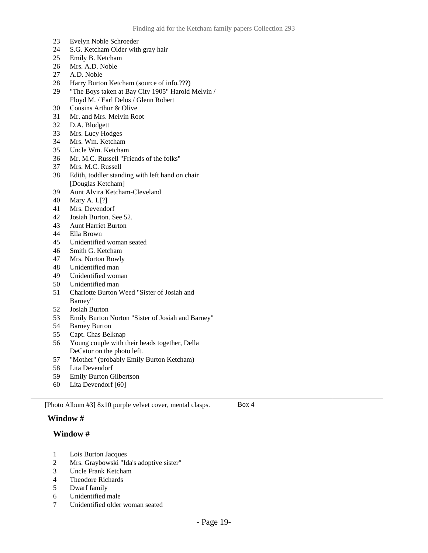- Evelyn Noble Schroeder
- S.G. Ketcham Older with gray hair
- Emily B. Ketcham
- Mrs. A.D. Noble
- A.D. Noble
- Harry Burton Ketcham (source of info.???)
- "The Boys taken at Bay City 1905" Harold Melvin / Floyd M. / Earl Delos / Glenn Robert
- Cousins Arthur & Olive
- Mr. and Mrs. Melvin Root
- D.A. Blodgett
- Mrs. Lucy Hodges
- Mrs. Wm. Ketcham
- Uncle Wm. Ketcham
- Mr. M.C. Russell "Friends of the folks"
- Mrs. M.C. Russell
- Edith, toddler standing with left hand on chair [Douglas Ketcham]
- Aunt Alvira Ketcham-Cleveland
- Mary A. L[?]
- Mrs. Devendorf
- Josiah Burton. See 52.
- Aunt Harriet Burton
- Ella Brown
- Unidentified woman seated
- Smith G. Ketcham
- Mrs. Norton Rowly
- Unidentified man
- Unidentified woman
- Unidentified man
- Charlotte Burton Weed "Sister of Josiah and Barney"
- Josiah Burton
- Emily Burton Norton "Sister of Josiah and Barney"
- Barney Burton
- Capt. Chas Belknap
- Young couple with their heads together, Della DeCator on the photo left.
- "Mother" (probably Emily Burton Ketcham)
- Lita Devendorf
- Emily Burton Gilbertson
- Lita Devendorf [60]

[Photo Album #3] 8x10 purple velvet cover, mental clasps.

#### **Window #**

#### **Window #**

- Lois Burton Jacques
- Mrs. Graybowski "Ida's adoptive sister"
- Uncle Frank Ketcham
- 4 Theodore Richards<br>5 Dwarf family
- Dwarf family
- Unidentified male
- Unidentified older woman seated

Box 4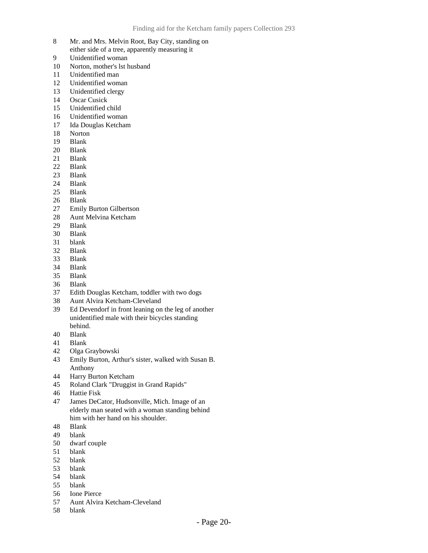- Mr. and Mrs. Melvin Root, Bay City, standing on either side of a tree, apparently measuring it
- Unidentified woman
- Norton, mother's lst husband
- Unidentified man
- Unidentified woman
- Unidentified clergy
- 14 Oscar Cusick<br>15 Unidentified
- Unidentified child
- Unidentified woman
- Ida Douglas Ketcham
- Norton
- Blank
- Blank
- Blank
- Blank
- Blank
- Blank
- Blank
- Blank
- Emily Burton Gilbertson
- Aunt Melvina Ketcham
- Blank
- Blank
- blank
- Blank
- Blank
- Blank
- Blank
- Blank
- Edith Douglas Ketcham, toddler with two dogs
- Aunt Alvira Ketcham-Cleveland
- Ed Devendorf in front leaning on the leg of another unidentified male with their bicycles standing behind.
- Blank
- Blank
- Olga Graybowski
- Emily Burton, Arthur's sister, walked with Susan B. Anthony
- Harry Burton Ketcham
- Roland Clark "Druggist in Grand Rapids"
- Hattie Fisk
- James DeCator, Hudsonville, Mich. Image of an elderly man seated with a woman standing behind him with her hand on his shoulder.
- Blank
- blank
- dwarf couple
- blank
- blank
- 
- blank blank
- blank
- Ione Pierce
- Aunt Alvira Ketcham-Cleveland
- blank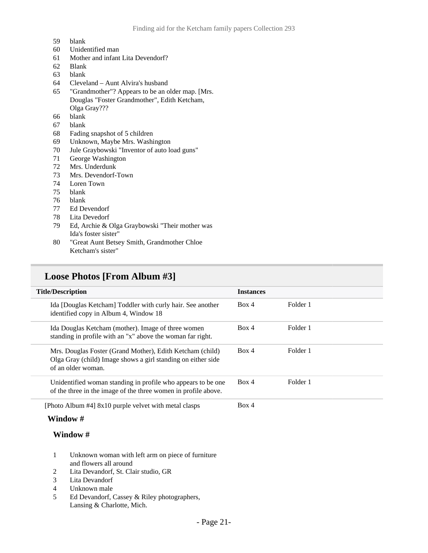- 59 blank
- 60 Unidentified man
- 61 Mother and infant Lita Devendorf?
- 62 Blank
- 63 blank
- 64 Cleveland Aunt Alvira's husband
- 65 "Grandmother"? Appears to be an older map. [Mrs. Douglas "Foster Grandmother", Edith Ketcham, Olga Gray???
- 66 blank
- 67 blank
- 68 Fading snapshot of 5 children
- 69 Unknown, Maybe Mrs. Washington
- 70 Jule Graybowski "Inventor of auto load guns"
- 71 George Washington
- 72 Mrs. Underdunk
- 73 Mrs. Devendorf-Town
- 74 Loren Town
- 75 blank
- 76 blank
- 77 Ed Devendorf
- Lita Devedorf
- 79 Ed, Archie & Olga Graybowski "Their mother was Ida's foster sister"
- 80 "Great Aunt Betsey Smith, Grandmother Chloe Ketcham's sister"

#### **Loose Photos [From Album #3]**

| <b>Title/Description</b>                                                                                                                        | <b>Instances</b> |          |
|-------------------------------------------------------------------------------------------------------------------------------------------------|------------------|----------|
| Ida [Douglas Ketcham] Toddler with curly hair. See another<br>identified copy in Album 4, Window 18                                             | Box 4            | Folder 1 |
| Ida Douglas Ketcham (mother). Image of three women<br>standing in profile with an "x" above the woman far right.                                | Box 4            | Folder 1 |
| Mrs. Douglas Foster (Grand Mother), Edith Ketcham (child)<br>Olga Gray (child) Image shows a girl standing on either side<br>of an older woman. | Box 4            | Folder 1 |
| Unidentified woman standing in profile who appears to be one<br>of the three in the image of the three women in profile above.                  | Box 4            | Folder 1 |
| [Photo Album #4] 8x10 purple velvet with metal clasps                                                                                           | Box 4            |          |

#### **Window #**

#### **Window #**

- 1 Unknown woman with left arm on piece of furniture and flowers all around
- 2 Lita Devandorf, St. Clair studio, GR
- 3 Lita Devandorf
- 4 Unknown male
- 5 Ed Devandorf, Cassey & Riley photographers, Lansing & Charlotte, Mich.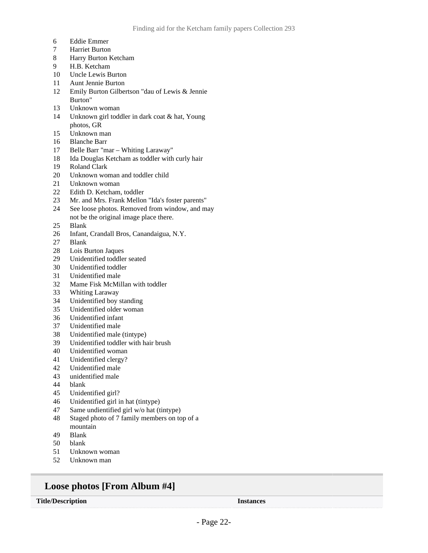- Eddie Emmer
- Harriet Burton
- Harry Burton Ketcham
- H.B. Ketcham
- Uncle Lewis Burton
- Aunt Jennie Burton
- Emily Burton Gilbertson "dau of Lewis & Jennie Burton"
- Unknown woman
- Unknown girl toddler in dark coat & hat, Young photos, GR
- Unknown man
- Blanche Barr
- Belle Barr "mar Whiting Laraway"
- Ida Douglas Ketcham as toddler with curly hair
- Roland Clark
- Unknown woman and toddler child
- Unknown woman
- Edith D. Ketcham, toddler
- Mr. and Mrs. Frank Mellon "Ida's foster parents"
- See loose photos. Removed from window, and may not be the original image place there.
- Blank
- Infant, Crandall Bros, Canandaigua, N.Y.
- Blank
- Lois Burton Jaques
- Unidentified toddler seated
- Unidentified toddler
- Unidentified male
- Mame Fisk McMillan with toddler
- Whiting Laraway
- Unidentified boy standing
- Unidentified older woman
- Unidentified infant
- Unidentified male
- Unidentified male (tintype)
- Unidentified toddler with hair brush
- Unidentified woman
- Unidentified clergy?
- Unidentified male
- unidentified male
- blank
- Unidentified girl?
- Unidentified girl in hat (tintype)
- Same undientified girl w/o hat (tintype)
- Staged photo of 7 family members on top of a mountain
- 
- Blank
- blank
- Unknown woman
- Unknown man

#### **Loose photos [From Album #4]**

**Title/Description Instances**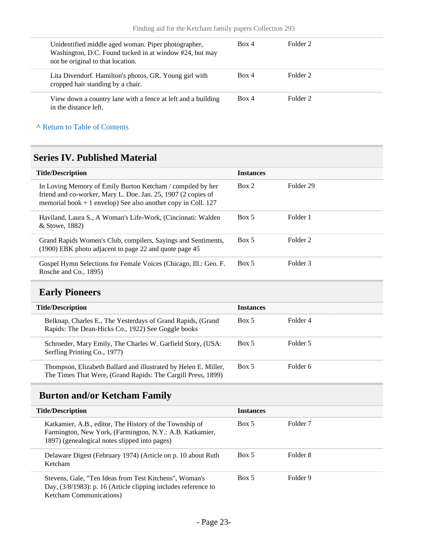| Unidentified middle aged woman. Piper photographer,<br>Washington, D.C. Found tucked in at window #24, but may<br>not be original to that location. | Box 4 | Folder <sub>2</sub> |
|-----------------------------------------------------------------------------------------------------------------------------------------------------|-------|---------------------|
| Lita Divendorf. Hamilton's photos, GR. Young girl with<br>cropped hair standing by a chair.                                                         | Box 4 | Folder <sub>2</sub> |
| View down a country lane with a fence at left and a building<br>in the distance left.                                                               | Box 4 | Folder 2            |

#### **^** [Return to Table of Contents](#page-1-0)

### <span id="page-22-0"></span>**Series IV. Published Material**

| <b>Title/Description</b>                                                                                                                                                                       | <b>Instances</b> |           |
|------------------------------------------------------------------------------------------------------------------------------------------------------------------------------------------------|------------------|-----------|
| In Loving Memory of Emily Burton Ketcham / compiled by her<br>friend and co-worker, Mary L. Doe. Jan. 25, 1907 (2 copies of<br>memorial book $+ 1$ envelop) See also another copy in Coll. 127 | Box 2            | Folder 29 |
| Haviland, Laura S., A Woman's Life-Work, (Cincinnati: Walden<br>& Stowe, 1882)                                                                                                                 | Box 5            | Folder 1  |
| Grand Rapids Women's Club, compilers, Sayings and Sentiments,<br>(1900) EBK photo adjacent to page 22 and quote page 45                                                                        | Box 5            | Folder 2  |
| Gospel Hymn Selections for Female Voices (Chicago, Ill.: Geo. F.<br>Rosche and Co., 1895)                                                                                                      | Box 5            | Folder 3  |

## <span id="page-22-1"></span>**Early Pioneers**

| <b>Title/Description</b>                                                                                                        | <b>Instances</b> |          |
|---------------------------------------------------------------------------------------------------------------------------------|------------------|----------|
| Belknap, Charles E., The Yesterdays of Grand Rapids, (Grand<br>Rapids: The Dean-Hicks Co., 1922) See Goggle books               | Box 5            | Folder 4 |
| Schroeder, Mary Emily, The Charles W. Garfield Story, (USA:<br>Serfling Printing Co., 1977)                                     | Box 5            | Folder 5 |
| Thompson, Elizabeth Ballard and illustrated by Helen E. Miller,<br>The Times That Were, (Grand Rapids: The Cargill Press, 1899) | Box 5            | Folder 6 |

## <span id="page-22-2"></span>**Burton and/or Ketcham Family**

| <b>Title/Description</b>                                                                                                                                             | <b>Instances</b> |                     |
|----------------------------------------------------------------------------------------------------------------------------------------------------------------------|------------------|---------------------|
| Katkamier, A.B., editor, The History of the Township of<br>Farmington, New York, (Farmington, N.Y.: A.B. Katkamier,<br>1897) (genealogical notes slipped into pages) | Box 5            | Folder <sub>7</sub> |
| Delaware Digest (February 1974) (Article on p. 10 about Ruth<br>Ketcham                                                                                              | Box 5            | Folder 8            |
| Stevens, Gale, "Ten Ideas from Test Kitchens", Woman's<br>Day, $(3/8/1983)$ : p. 16 (Article clipping includes reference to<br><b>Ketcham Communications</b> )       | Box 5            | Folder 9            |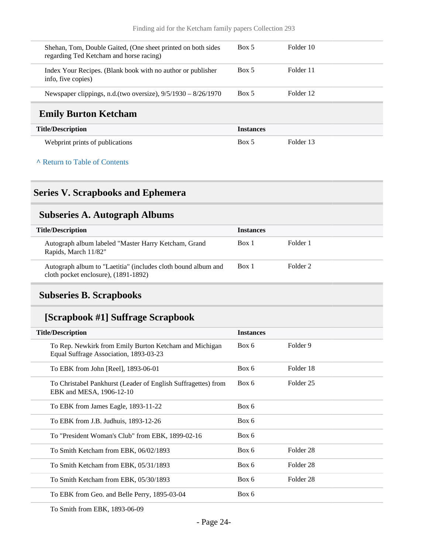<span id="page-23-0"></span>

| Shehan, Tom, Double Gaited, (One sheet printed on both sides<br>regarding Ted Ketcham and horse racing) | Box 5            | Folder 10 |
|---------------------------------------------------------------------------------------------------------|------------------|-----------|
| Index Your Recipes. (Blank book with no author or publisher<br>info, five copies)                       | Box 5            | Folder 11 |
| Newspaper clippings, n.d. (two oversize), $9/5/1930 - 8/26/1970$                                        | Box 5            | Folder 12 |
| <b>Emily Burton Ketcham</b>                                                                             |                  |           |
| <b>Title/Description</b>                                                                                | <b>Instances</b> |           |
| Webprint prints of publications                                                                         | Box 5            | Folder 13 |
| A Return to Table of Contents                                                                           |                  |           |

### <span id="page-23-1"></span>**Series V. Scrapbooks and Ephemera**

### <span id="page-23-2"></span>**Subseries A. Autograph Albums**

| <b>Title/Description</b>                                                                              | <b>Instances</b> |          |
|-------------------------------------------------------------------------------------------------------|------------------|----------|
| Autograph album labeled "Master Harry Ketcham, Grand<br>Rapids, March 11/82"                          | Box 1            | Folder 1 |
| Autograph album to "Laetitia" (includes cloth bound album and<br>cloth pocket enclosure), (1891-1892) | Box 1            | Folder 2 |

### <span id="page-23-3"></span>**Subseries B. Scrapbooks**

## **[Scrapbook #1] Suffrage Scrapbook**

| <b>Title/Description</b>                                                                         | <b>Instances</b> |                      |
|--------------------------------------------------------------------------------------------------|------------------|----------------------|
| To Rep. Newkirk from Emily Burton Ketcham and Michigan<br>Equal Suffrage Association, 1893-03-23 | Box 6            | Folder 9             |
| To EBK from John [Reel], 1893-06-01                                                              | Box 6            | Folder 18            |
| To Christabel Pankhurst (Leader of English Suffragettes) from<br>EBK and MESA, 1906-12-10        | Box 6            | Folder 25            |
| To EBK from James Eagle, 1893-11-22                                                              | Box 6            |                      |
| To EBK from J.B. Judhuis, 1893-12-26                                                             | Box 6            |                      |
| To "President Woman's Club" from EBK, 1899-02-16                                                 | Box 6            |                      |
| To Smith Ketcham from EBK, 06/02/1893                                                            | Box 6            | Folder <sub>28</sub> |
| To Smith Ketcham from EBK, 05/31/1893                                                            | Box 6            | Folder 28            |
| To Smith Ketcham from EBK, 05/30/1893                                                            | Box 6            | Folder <sub>28</sub> |
| To EBK from Geo. and Belle Perry, 1895-03-04                                                     | Box 6            |                      |
|                                                                                                  |                  |                      |

To Smith from EBK, 1893-06-09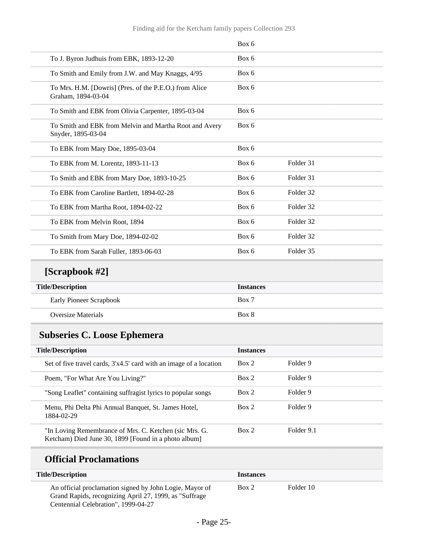|                                                                              | Box 6 |                      |  |
|------------------------------------------------------------------------------|-------|----------------------|--|
| To J. Byron Judhuis from EBK, 1893-12-20                                     | Box 6 |                      |  |
| To Smith and Emily from J.W. and May Knaggs, 4/95                            | Box 6 |                      |  |
| To Mrs. H.M. [Dowris] (Pres. of the P.E.O.) from Alice<br>Graham, 1894-03-04 | Box 6 |                      |  |
| To Smith and EBK from Olivia Carpenter, 1895-03-04                           | Box 6 |                      |  |
| To Smith and EBK from Melvin and Martha Root and Avery<br>Snyder, 1895-03-04 | Box 6 |                      |  |
| To EBK from Mary Doe, 1895-03-04                                             | Box 6 |                      |  |
| To EBK from M. Lorentz, 1893-11-13                                           | Box 6 | Folder 31            |  |
| To Smith and EBK from Mary Doe, 1893-10-25                                   | Box 6 | Folder 31            |  |
| To EBK from Caroline Bartlett, 1894-02-28                                    | Box 6 | Folder <sub>32</sub> |  |
| To EBK from Martha Root, 1894-02-22                                          | Box 6 | Folder 32            |  |
| To EBK from Melvin Root, 1894                                                | Box 6 | Folder <sub>32</sub> |  |
| To Smith from Mary Doe, 1894-02-02                                           | Box 6 | Folder 32            |  |
| To EBK from Sarah Fuller, 1893-06-03                                         | Box 6 | Folder 35            |  |
|                                                                              |       |                      |  |

## **[Scrapbook #2]**

| <b>Title/Description</b>       | <b>Instances</b> |
|--------------------------------|------------------|
| <b>Early Pioneer Scrapbook</b> | Box 7            |
| <b>Oversize Materials</b>      | Box 8            |

## <span id="page-24-0"></span>**Subseries C. Loose Ephemera**

| <b>Title/Description</b>                                                                                       | <b>Instances</b> |            |  |
|----------------------------------------------------------------------------------------------------------------|------------------|------------|--|
| Set of five travel cards, 3'x4.5' card with an image of a location                                             | Box 2            | Folder 9   |  |
| Poem, "For What Are You Living?"                                                                               | Box 2            | Folder 9   |  |
| "Song Leaflet" containing suffragist lyrics to popular songs                                                   | Box 2            | Folder 9   |  |
| Menu, Phi Delta Phi Annual Banquet, St. James Hotel,<br>1884-02-29                                             | Box 2            | Folder 9   |  |
| "In Loving Remembrance of Mrs. C. Ketchen (sic Mrs. G.<br>Ketcham) Died June 30, 1899 [Found in a photo album] | Box 2            | Folder 9.1 |  |

## **Official Proclamations**

| <b>Title/Description</b>                                                                                                                                 | <b>Instances</b> |           |
|----------------------------------------------------------------------------------------------------------------------------------------------------------|------------------|-----------|
| An official proclamation signed by John Logie, Mayor of<br>Grand Rapids, recognizing April 27, 1999, as "Suffrage<br>Centennial Celebration", 1999-04-27 | Box 2            | Folder 10 |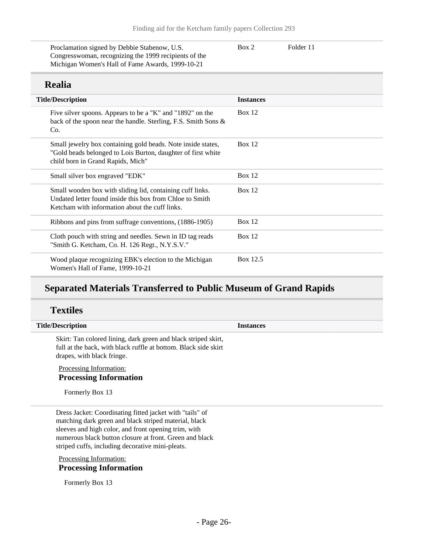| Proclamation signed by Debbie Stabenow, U.S.          | Box 2 | Folder 11 |  |
|-------------------------------------------------------|-------|-----------|--|
| Congresswoman, recognizing the 1999 recipients of the |       |           |  |
| Michigan Women's Hall of Fame Awards, 1999-10-21      |       |           |  |

#### **Realia**

| <b>Title/Description</b>                                                                                                                                                | <b>Instances</b> |
|-------------------------------------------------------------------------------------------------------------------------------------------------------------------------|------------------|
| Five silver spoons. Appears to be a "K" and "1892" on the<br>back of the spoon near the handle. Sterling, F.S. Smith Sons &<br>Co.                                      | Box 12           |
| Small jewelry box containing gold beads. Note inside states,<br>"Gold beads belonged to Lois Burton, daughter of first white<br>child born in Grand Rapids, Mich"       | Box $12$         |
| Small silver box engraved "EDK"                                                                                                                                         | Box $12$         |
| Small wooden box with sliding lid, containing cuff links.<br>Undated letter found inside this box from Chloe to Smith<br>Ketcham with information about the cuff links. | Box $12$         |
| Ribbons and pins from suffrage conventions, (1886-1905)                                                                                                                 | Box $12$         |
| Cloth pouch with string and needles. Sewn in ID tag reads<br>"Smith G. Ketcham, Co. H. 126 Regt., N.Y.S.V."                                                             | Box $12$         |
| Wood plaque recognizing EBK's election to the Michigan<br>Women's Hall of Fame, 1999-10-21                                                                              | Box 12.5         |

### **Separated Materials Transferred to Public Museum of Grand Rapids**

### **Textiles**

| <b>Title/Description</b>                                                                                                                                        | <b>Instances</b> |
|-----------------------------------------------------------------------------------------------------------------------------------------------------------------|------------------|
| Skirt: Tan colored lining, dark green and black striped skirt,<br>full at the back, with black ruffle at bottom. Black side skirt<br>drapes, with black fringe. |                  |
| Processing Information:<br><b>Processing Information</b>                                                                                                        |                  |

Formerly Box 13

Dress Jacket: Coordinating fitted jacket with "tails" of matching dark green and black striped material, black sleeves and high color, and front opening trim, with numerous black button closure at front. Green and black striped cuffs, including decorative mini-pleats.

Processing Information: **Processing Information**

Formerly Box 13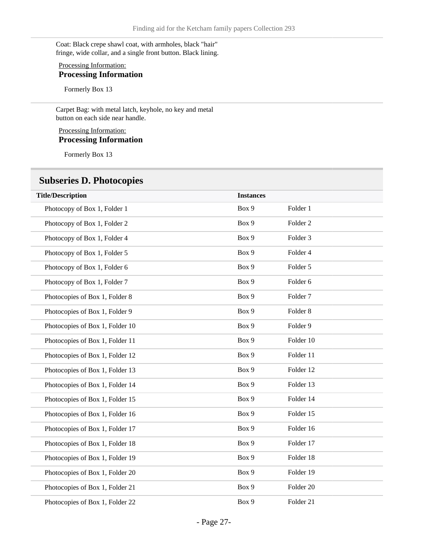Coat: Black crepe shawl coat, with armholes, black "hair" fringe, wide collar, and a single front button. Black lining.

#### Processing Information: **Processing Information**

Formerly Box 13

Carpet Bag: with metal latch, keyhole, no key and metal button on each side near handle.

#### Processing Information: **Processing Information**

Formerly Box 13

#### <span id="page-26-0"></span>**Subseries D. Photocopies**

| <b>Title/Description</b>        | <b>Instances</b> |                      |
|---------------------------------|------------------|----------------------|
| Photocopy of Box 1, Folder 1    | Box 9            | Folder 1             |
| Photocopy of Box 1, Folder 2    | Box 9            | Folder <sub>2</sub>  |
| Photocopy of Box 1, Folder 4    | Box 9            | Folder <sub>3</sub>  |
| Photocopy of Box 1, Folder 5    | Box 9            | Folder 4             |
| Photocopy of Box 1, Folder 6    | Box 9            | Folder 5             |
| Photocopy of Box 1, Folder 7    | Box 9            | Folder 6             |
| Photocopies of Box 1, Folder 8  | Box 9            | Folder <sub>7</sub>  |
| Photocopies of Box 1, Folder 9  | Box 9            | Folder <sub>8</sub>  |
| Photocopies of Box 1, Folder 10 | Box 9            | Folder 9             |
| Photocopies of Box 1, Folder 11 | Box 9            | Folder 10            |
| Photocopies of Box 1, Folder 12 | Box 9            | Folder 11            |
| Photocopies of Box 1, Folder 13 | Box 9            | Folder 12            |
| Photocopies of Box 1, Folder 14 | Box 9            | Folder 13            |
| Photocopies of Box 1, Folder 15 | Box 9            | Folder 14            |
| Photocopies of Box 1, Folder 16 | Box 9            | Folder 15            |
| Photocopies of Box 1, Folder 17 | Box 9            | Folder 16            |
| Photocopies of Box 1, Folder 18 | Box 9            | Folder 17            |
| Photocopies of Box 1, Folder 19 | Box 9            | Folder 18            |
| Photocopies of Box 1, Folder 20 | Box 9            | Folder 19            |
| Photocopies of Box 1, Folder 21 | Box 9            | Folder <sub>20</sub> |
| Photocopies of Box 1, Folder 22 | Box 9            | Folder 21            |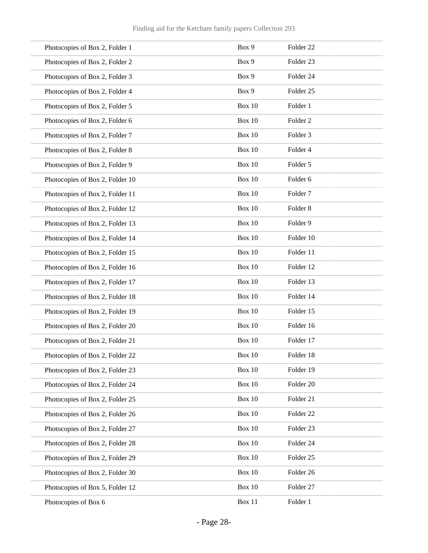| Photocopies of Box 2, Folder 1  | Box 9         | Folder <sub>22</sub> |
|---------------------------------|---------------|----------------------|
| Photocopies of Box 2, Folder 2  | Box 9         | Folder <sub>23</sub> |
| Photocopies of Box 2, Folder 3  | Box 9         | Folder 24            |
| Photocopies of Box 2, Folder 4  | Box 9         | Folder <sub>25</sub> |
| Photocopies of Box 2, Folder 5  | <b>Box 10</b> | Folder 1             |
| Photocopies of Box 2, Folder 6  | <b>Box 10</b> | Folder <sub>2</sub>  |
| Photocopies of Box 2, Folder 7  | <b>Box 10</b> | Folder 3             |
| Photocopies of Box 2, Folder 8  | <b>Box 10</b> | Folder 4             |
| Photocopies of Box 2, Folder 9  | <b>Box 10</b> | Folder 5             |
| Photocopies of Box 2, Folder 10 | <b>Box 10</b> | Folder 6             |
| Photocopies of Box 2, Folder 11 | Box 10        | Folder <sub>7</sub>  |
| Photocopies of Box 2, Folder 12 | <b>Box 10</b> | Folder <sub>8</sub>  |
| Photocopies of Box 2, Folder 13 | <b>Box 10</b> | Folder 9             |
| Photocopies of Box 2, Folder 14 | <b>Box 10</b> | Folder 10            |
| Photocopies of Box 2, Folder 15 | Box 10        | Folder 11            |
| Photocopies of Box 2, Folder 16 | <b>Box 10</b> | Folder 12            |
| Photocopies of Box 2, Folder 17 | <b>Box 10</b> | Folder 13            |
| Photocopies of Box 2, Folder 18 | <b>Box 10</b> | Folder 14            |
| Photocopies of Box 2, Folder 19 | <b>Box 10</b> | Folder 15            |
| Photocopies of Box 2, Folder 20 | <b>Box 10</b> | Folder 16            |
| Photocopies of Box 2, Folder 21 | Box 10        | Folder 17            |
| Photocopies of Box 2, Folder 22 | Box 10        | Folder 18            |
| Photocopies of Box 2, Folder 23 | <b>Box 10</b> | Folder 19            |
| Photocopies of Box 2, Folder 24 | <b>Box 10</b> | Folder 20            |
| Photocopies of Box 2, Folder 25 | <b>Box 10</b> | Folder 21            |
| Photocopies of Box 2, Folder 26 | <b>Box 10</b> | Folder 22            |
| Photocopies of Box 2, Folder 27 | <b>Box 10</b> | Folder 23            |
| Photocopies of Box 2, Folder 28 | <b>Box 10</b> | Folder 24            |
| Photocopies of Box 2, Folder 29 | <b>Box 10</b> | Folder 25            |
| Photocopies of Box 2, Folder 30 | <b>Box 10</b> | Folder 26            |
| Photocopies of Box 5, Folder 12 | <b>Box 10</b> | Folder 27            |
| Photocopies of Box 6            | Box 11        | Folder 1             |